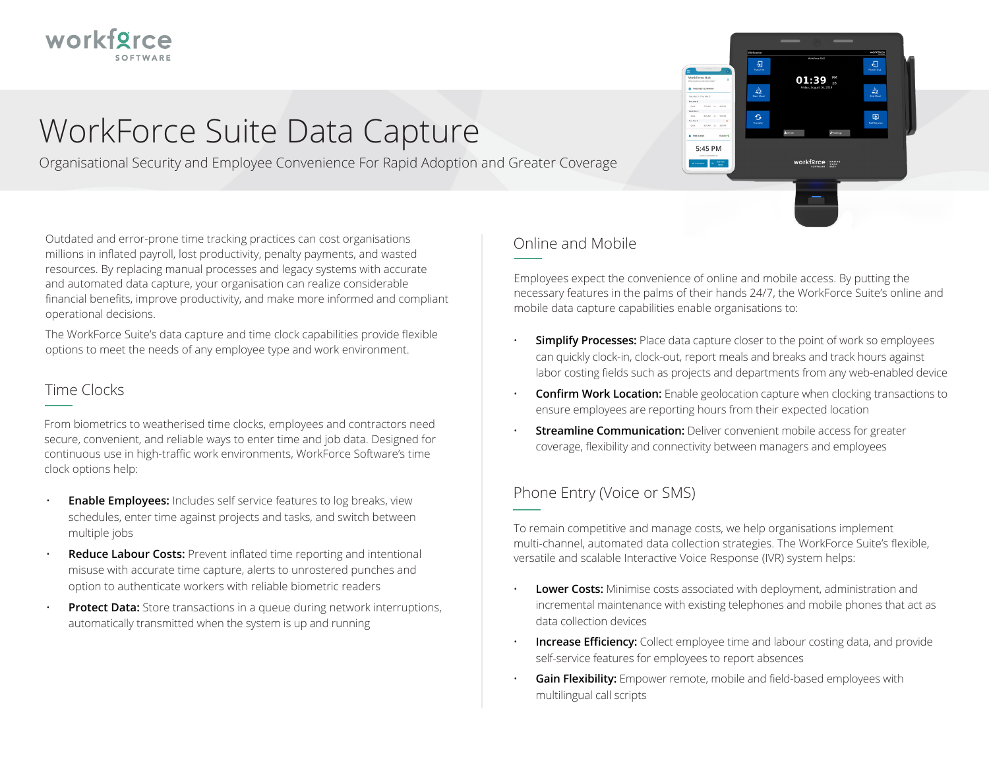

# WorkForce Suite Data Capture

Organisational Security and Employee Convenience For Rapid Adoption and Greater Coverage

Outdated and error-prone time tracking practices can cost organisations millions in inflated payroll, lost productivity, penalty payments, and wasted resources. By replacing manual processes and legacy systems with accurate and automated data capture, your organisation can realize considerable financial benefits, improve productivity, and make more informed and compliant operational decisions.

The WorkForce Suite's data capture and time clock capabilities provide flexible options to meet the needs of any employee type and work environment.

### Time Clocks

From biometrics to weatherised time clocks, employees and contractors need secure, convenient, and reliable ways to enter time and job data. Designed for continuous use in high-traffic work environments, WorkForce Software's time clock options help:

- **Enable Employees:** Includes self service features to log breaks, view schedules, enter time against projects and tasks, and switch between multiple jobs
- **Reduce Labour Costs:** Prevent inflated time reporting and intentional misuse with accurate time capture, alerts to unrostered punches and option to authenticate workers with reliable biometric readers
- **Protect Data:** Store transactions in a queue during network interruptions, automatically transmitted when the system is up and running



## Online and Mobile

Employees expect the convenience of online and mobile access. By putting the necessary features in the palms of their hands 24/7, the WorkForce Suite's online and mobile data capture capabilities enable organisations to:

- **Simplify Processes:** Place data capture closer to the point of work so employees can quickly clock-in, clock-out, report meals and breaks and track hours against labor costing fields such as projects and departments from any web-enabled device
- **Confirm Work Location:** Enable geolocation capture when clocking transactions to ensure employees are reporting hours from their expected location
- **Streamline Communication:** Deliver convenient mobile access for greater coverage, flexibility and connectivity between managers and employees

## Phone Entry (Voice or SMS)

To remain competitive and manage costs, we help organisations implement multi-channel, automated data collection strategies. The WorkForce Suite's flexible, versatile and scalable Interactive Voice Response (IVR) system helps:

- **Lower Costs:** Minimise costs associated with deployment, administration and incremental maintenance with existing telephones and mobile phones that act as data collection devices
- **Increase Efficiency:** Collect employee time and labour costing data, and provide self-service features for employees to report absences
- **Gain Flexibility:** Empower remote, mobile and field-based employees with multilingual call scripts